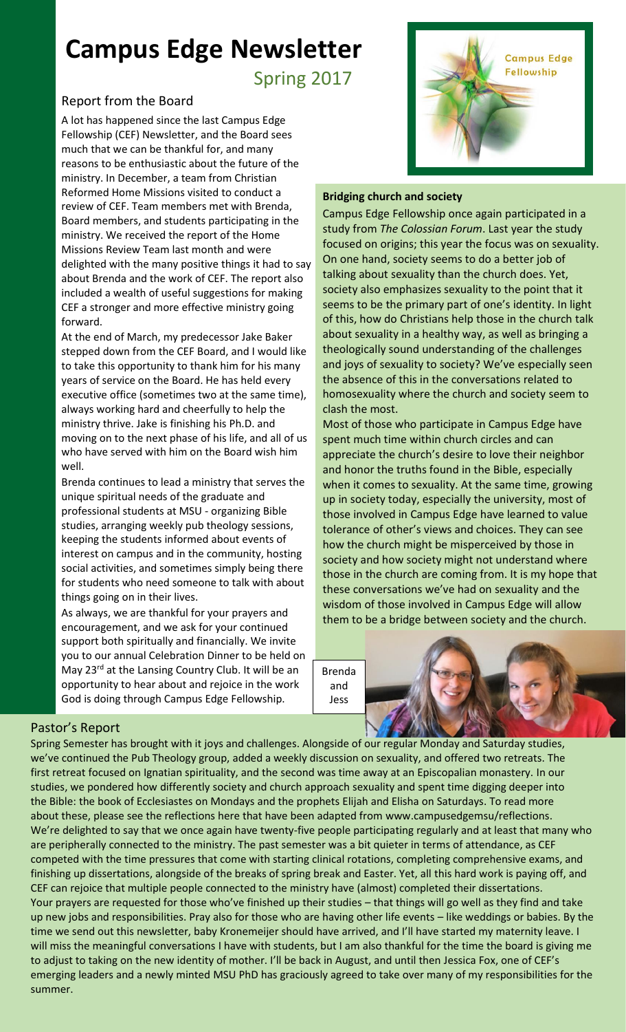# **Campus Edge Newsletter**

Spring 2017

# Report from the Board

A lot has happened since the last Campus Edge Fellowship (CEF) Newsletter, and the Board sees much that we can be thankful for, and many reasons to be enthusiastic about the future of the ministry. In December, a team from Christian Reformed Home Missions visited to conduct a review of CEF. Team members met with Brenda, Board members, and students participating in the ministry. We received the report of the Home Missions Review Team last month and were delighted with the many positive things it had to say about Brenda and the work of CEF. The report also included a wealth of useful suggestions for making CEF a stronger and more effective ministry going forward.

executive office (sometimes two at the same time),<br>always working hard and cheerfully to help the At the end of March, my predecessor Jake Baker stepped down from the CEF Board, and I would like to take this opportunity to thank him for his many years of service on the Board. He has held every always working hard and cheerfully to help the ministry thrive. Jake is finishing his Ph.D. and moving on to the next phase of his life, and all of us who have served with him on the Board wish him well.

Brenda continues to lead a ministry that serves the unique spiritual needs of the graduate and professional students at MSU - organizing Bible studies, arranging weekly pub theology sessions, keeping the students informed about events of interest on campus and in the community, hosting social activities, and sometimes simply being there for students who need someone to talk with about things going on in their lives.

As always, we are thankful for your prayers and encouragement, and we ask for your continued support both spiritually and financially. We invite you to our annual Celebration Dinner to be held on May 23<sup>rd</sup> at the Lansing Country Club. It will be an opportunity to hear about and rejoice in the work God is doing through Campus Edge Fellowship.



# **Bridging church and society**

Campus Edge Fellowship once again participated in a study from *[The Colossian Forum](http://www.colossianway.org/)*. Last year the study focused on origins; this year the focus was on sexuality. On one hand, society seems to do a better job of talking about sexuality than the church does. Yet, society also emphasizes sexuality to the point that it seems to be the primary part of one's identity. In light of this, how do Christians help those in the church talk about sexuality in a healthy way, as well as bringing a theologically sound understanding of the challenges and joys of sexuality to society? We've especially seen the absence of this in the conversations related to homosexuality where the church and society seem to clash the most.

Most of those who participate in Campus Edge have spent much time within church circles and can appreciate the church's desire to love their neighbor and honor the truths found in the Bible, especially when it comes to sexuality. At the same time, growing up in society today, especially the university, most of those involved in Campus Edge have learned to value tolerance of other's views and choices. They can see how the church might be misperceived by those in society and how society might not understand where those in the church are coming from. It is my hope that these conversations we've had on sexuality and the wisdom of those involved in Campus Edge will allow them to be a bridge between society and the church.

Brenda and Jess



# Pastor's Report

Spring Semester has brought with it joys and challenges. Alongside of our regular Monday and Saturday studies, we've continued the Pub Theology group, added a weekly discussion on sexuality, and offered two retreats. The first retreat focused on Ignatian spirituality, and the second was time away at an Episcopalian monastery. In our studies, we pondered how differently society and church approach sexuality and spent time digging deeper into the Bible: the book of Ecclesiastes on Mondays and the prophets Elijah and Elisha on Saturdays. To read more about these, please see the reflections here that have been adapted from [www.campusedgemsu/reflections.](http://www.campusedgemsu/reflections) We're delighted to say that we once again have twenty-five people participating regularly and at least that many who are peripherally connected to the ministry. The past semester was a bit quieter in terms of attendance, as CEF competed with the time pressures that come with starting clinical rotations, completing comprehensive exams, and finishing up dissertations, alongside of the breaks of spring break and Easter. Yet, all this hard work is paying off, and CEF can rejoice that multiple people connected to the ministry have (almost) completed their dissertations. Your prayers are requested for those who've finished up their studies – that things will go well as they find and take up new jobs and responsibilities. Pray also for those who are having other life events – like weddings or babies. By the time we send out this newsletter, baby Kronemeijer should have arrived, and I'll have started my maternity leave. I will miss the meaningful conversations I have with students, but I am also thankful for the time the board is giving me to adjust to taking on the new identity of mother. I'll be back in August, and until then Jessica Fox, one of CEF's emerging leaders and a newly minted MSU PhD has graciously agreed to take over many of my responsibilities for the summer.